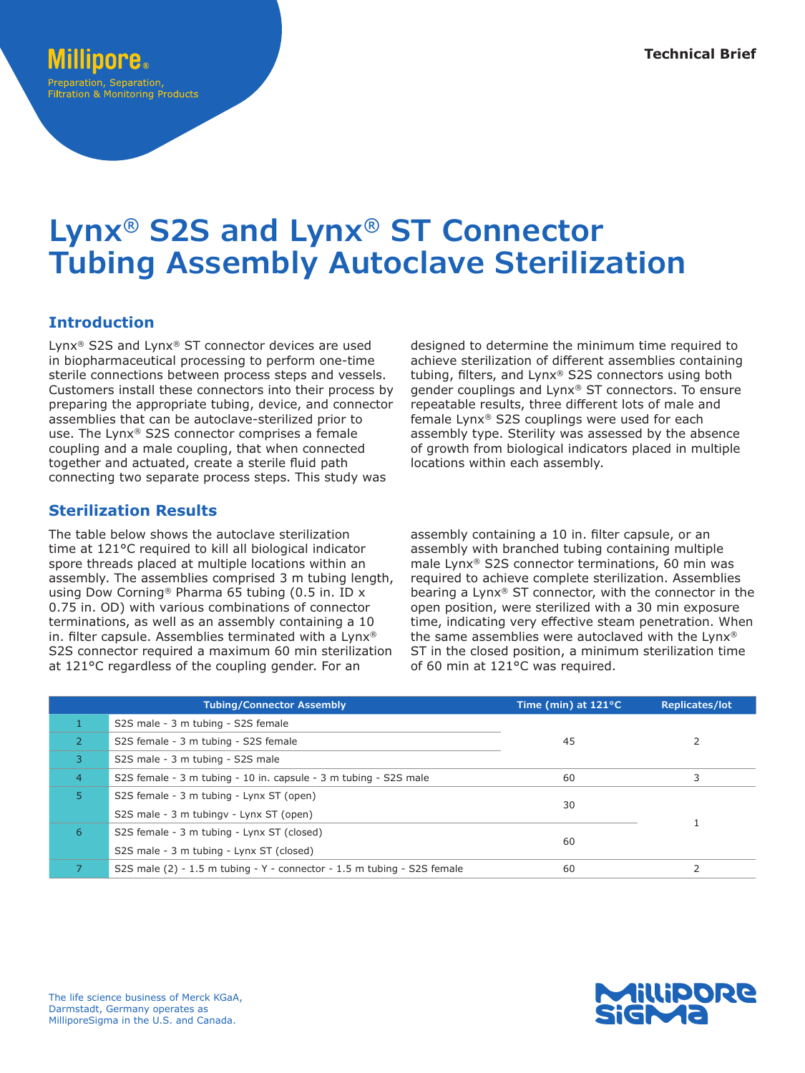# Preparation, Separation, **Filtration & Monitoring Products**

# **Lynx® S2S and Lynx® ST Connector Tubing Assembly Autoclave Sterilization**

## **Introduction**

Lynx® S2S and Lynx® ST connector devices are used in biopharmaceutical processing to perform one-time sterile connections between process steps and vessels. Customers install these connectors into their process by preparing the appropriate tubing, device, and connector assemblies that can be autoclave-sterilized prior to use. The Lynx® S2S connector comprises a female coupling and a male coupling, that when connected together and actuated, create a sterile fluid path connecting two separate process steps. This study was

## **Sterilization Results**

The table below shows the autoclave sterilization time at 121°C required to kill all biological indicator spore threads placed at multiple locations within an assembly. The assemblies comprised 3 m tubing length, using Dow Corning® Pharma 65 tubing (0.5 in. ID x 0.75 in. OD) with various combinations of connector terminations, as well as an assembly containing a 10 in. filter capsule. Assemblies terminated with a Lynx® S2S connector required a maximum 60 min sterilization at 121°C regardless of the coupling gender. For an

designed to determine the minimum time required to achieve sterilization of different assemblies containing tubing, filters, and Lynx® S2S connectors using both gender couplings and Lynx® ST connectors. To ensure repeatable results, three different lots of male and female Lynx® S2S couplings were used for each assembly type. Sterility was assessed by the absence of growth from biological indicators placed in multiple locations within each assembly.

assembly containing a 10 in. filter capsule, or an assembly with branched tubing containing multiple male Lynx® S2S connector terminations, 60 min was required to achieve complete sterilization. Assemblies bearing a Lynx® ST connector, with the connector in the open position, were sterilized with a 30 min exposure time, indicating very effective steam penetration. When the same assemblies were autoclaved with the Lynx® ST in the closed position, a minimum sterilization time of 60 min at 121°C was required.

|                | <b>Tubing/Connector Assembly</b>                                          | Time (min) at $121^{\circ}$ C | <b>Replicates/lot</b> |
|----------------|---------------------------------------------------------------------------|-------------------------------|-----------------------|
|                | S2S male - 3 m tubing - S2S female                                        | 45                            |                       |
| <sup>2</sup>   | S2S female - 3 m tubing - S2S female                                      |                               |                       |
| $\mathbf{3}$   | S2S male - 3 m tubing - S2S male                                          |                               |                       |
| $\overline{4}$ | S2S female - 3 m tubing - 10 in. capsule - 3 m tubing - S2S male          | 60                            |                       |
| 5.             | S2S female - 3 m tubing - Lynx ST (open)                                  | 30                            |                       |
|                | S2S male - 3 m tubingy - Lynx ST (open)                                   |                               |                       |
| 6              | S2S female - 3 m tubing - Lynx ST (closed)                                | 60                            |                       |
|                | S2S male - 3 m tubing - Lynx ST (closed)                                  |                               |                       |
|                | S2S male $(2) - 1.5$ m tubing - Y - connector - 1.5 m tubing - S2S female | 60                            |                       |